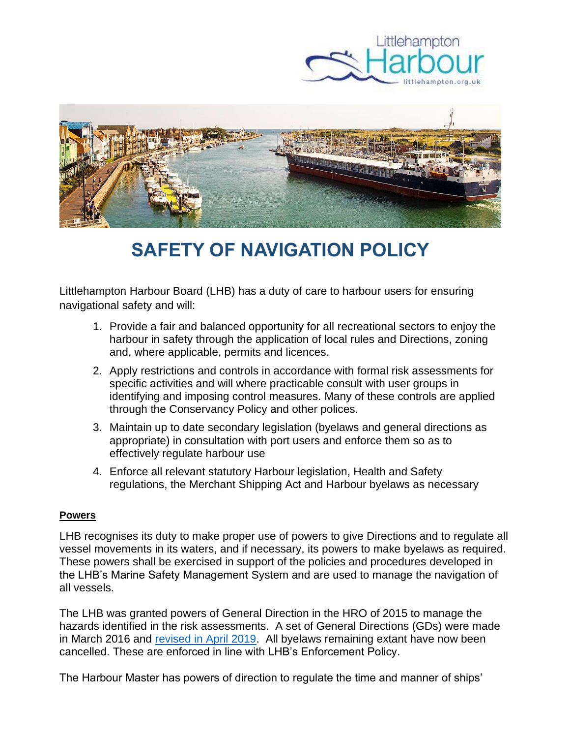



# **SAFETY OF NAVIGATION POLICY**

Littlehampton Harbour Board (LHB) has a duty of care to harbour users for ensuring navigational safety and will:

- 1. Provide a fair and balanced opportunity for all recreational sectors to enjoy the harbour in safety through the application of local rules and Directions, zoning and, where applicable, permits and licences.
- 2. Apply restrictions and controls in accordance with formal risk assessments for specific activities and will where practicable consult with user groups in identifying and imposing control measures. Many of these controls are applied through the Conservancy Policy and other polices.
- 3. Maintain up to date secondary legislation (byelaws and general directions as appropriate) in consultation with port users and enforce them so as to effectively regulate harbour use
- 4. Enforce all relevant statutory Harbour legislation, Health and Safety regulations, the Merchant Shipping Act and Harbour byelaws as necessary

## **Powers**

LHB recognises its duty to make proper use of powers to give Directions and to regulate all vessel movements in its waters, and if necessary, its powers to make byelaws as required. These powers shall be exercised in support of the policies and procedures developed in the LHB's Marine Safety Management System and are used to manage the navigation of all vessels.

The LHB was granted powers of General Direction in the HRO of 2015 to manage the hazards identified in the risk assessments. A set of General Directions (GDs) were made in March 2016 and [revised in April 2019.](https://www.littlehampton.org.uk/wp-content/uploads/2019/04/Revised-General-Directions_02.4.19_FINAL-1.pdf) All byelaws remaining extant have now been cancelled. These are enforced in line with LHB's Enforcement Policy.

The Harbour Master has powers of direction to regulate the time and manner of ships'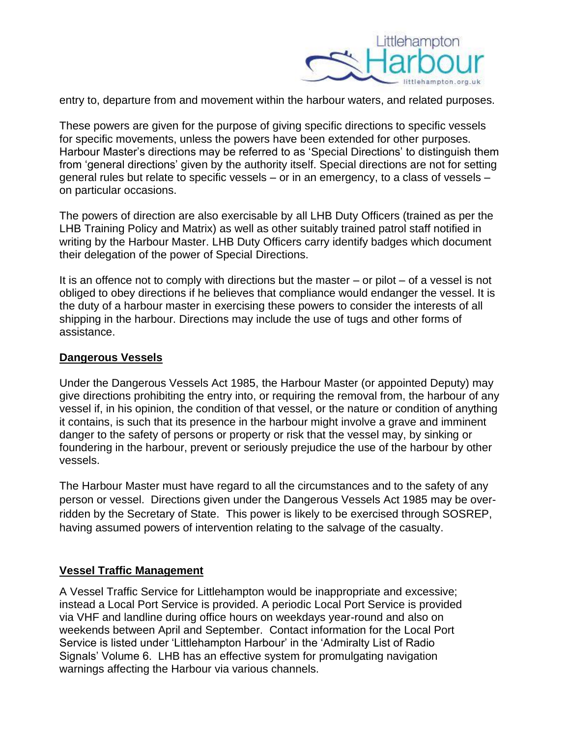

entry to, departure from and movement within the harbour waters, and related purposes.

These powers are given for the purpose of giving specific directions to specific vessels for specific movements, unless the powers have been extended for other purposes. Harbour Master's directions may be referred to as 'Special Directions' to distinguish them from 'general directions' given by the authority itself. Special directions are not for setting general rules but relate to specific vessels – or in an emergency, to a class of vessels – on particular occasions.

The powers of direction are also exercisable by all LHB Duty Officers (trained as per the LHB Training Policy and Matrix) as well as other suitably trained patrol staff notified in writing by the Harbour Master. LHB Duty Officers carry identify badges which document their delegation of the power of Special Directions.

It is an offence not to comply with directions but the master – or pilot – of a vessel is not obliged to obey directions if he believes that compliance would endanger the vessel. It is the duty of a harbour master in exercising these powers to consider the interests of all shipping in the harbour. Directions may include the use of tugs and other forms of assistance.

#### **Dangerous Vessels**

Under the Dangerous Vessels Act 1985, the Harbour Master (or appointed Deputy) may give directions prohibiting the entry into, or requiring the removal from, the harbour of any vessel if, in his opinion, the condition of that vessel, or the nature or condition of anything it contains, is such that its presence in the harbour might involve a grave and imminent danger to the safety of persons or property or risk that the vessel may, by sinking or foundering in the harbour, prevent or seriously prejudice the use of the harbour by other vessels.

The Harbour Master must have regard to all the circumstances and to the safety of any person or vessel. Directions given under the Dangerous Vessels Act 1985 may be overridden by the Secretary of State. This power is likely to be exercised through SOSREP, having assumed powers of intervention relating to the salvage of the casualty.

## **Vessel Traffic Management**

A Vessel Traffic Service for Littlehampton would be inappropriate and excessive; instead a Local Port Service is provided. A periodic Local Port Service is provided via VHF and landline during office hours on weekdays year-round and also on weekends between April and September. Contact information for the Local Port Service is listed under 'Littlehampton Harbour' in the 'Admiralty List of Radio Signals' Volume 6. LHB has an effective system for promulgating navigation warnings affecting the Harbour via various channels.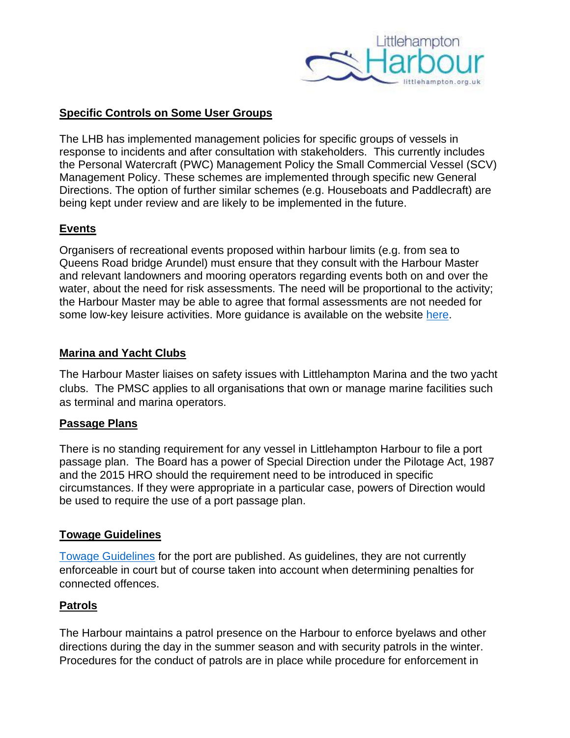

## **Specific Controls on Some User Groups**

The LHB has implemented management policies for specific groups of vessels in response to incidents and after consultation with stakeholders. This currently includes the Personal Watercraft (PWC) Management Policy the Small Commercial Vessel (SCV) Management Policy. These schemes are implemented through specific new General Directions. The option of further similar schemes (e.g. Houseboats and Paddlecraft) are being kept under review and are likely to be implemented in the future.

## **Events**

Organisers of recreational events proposed within harbour limits (e.g. from sea to Queens Road bridge Arundel) must ensure that they consult with the Harbour Master and relevant landowners and mooring operators regarding events both on and over the water, about the need for risk assessments. The need will be proportional to the activity; the Harbour Master may be able to agree that formal assessments are not needed for some low-key leisure activities. More guidance is available on the website [here.](https://www.littlehampton.org.uk/events-in-the-harbour/)

## **Marina and Yacht Clubs**

The Harbour Master liaises on safety issues with Littlehampton Marina and the two yacht clubs. The PMSC applies to all organisations that own or manage marine facilities such as terminal and marina operators.

## **Passage Plans**

There is no standing requirement for any vessel in Littlehampton Harbour to file a port passage plan. The Board has a power of Special Direction under the Pilotage Act, 1987 and the 2015 HRO should the requirement need to be introduced in specific circumstances. If they were appropriate in a particular case, powers of Direction would be used to require the use of a port passage plan.

## **Towage Guidelines**

[Towage Guidelines](http://www.littlehampton.org.uk/towage-guidelines) for the port are published. As guidelines, they are not currently enforceable in court but of course taken into account when determining penalties for connected offences.

## **Patrols**

The Harbour maintains a patrol presence on the Harbour to enforce byelaws and other directions during the day in the summer season and with security patrols in the winter. Procedures for the conduct of patrols are in place while procedure for enforcement in